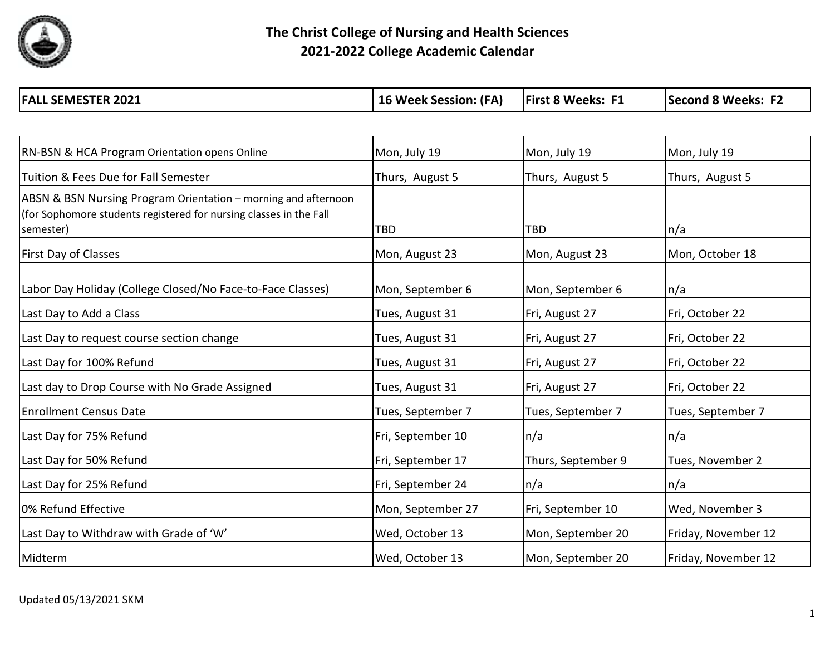

| RN-BSN & HCA Program Orientation opens Online                                                                                                     | Mon, July 19      | Mon, July 19       | Mon, July 19        |
|---------------------------------------------------------------------------------------------------------------------------------------------------|-------------------|--------------------|---------------------|
| Tuition & Fees Due for Fall Semester                                                                                                              | Thurs, August 5   | Thurs, August 5    | Thurs, August 5     |
| ABSN & BSN Nursing Program Orientation – morning and afternoon<br>(for Sophomore students registered for nursing classes in the Fall<br>semester) | <b>TBD</b>        | <b>TBD</b>         | n/a                 |
| First Day of Classes                                                                                                                              | Mon, August 23    | Mon, August 23     | Mon, October 18     |
| Labor Day Holiday (College Closed/No Face-to-Face Classes)                                                                                        | Mon, September 6  | Mon, September 6   | n/a                 |
| Last Day to Add a Class                                                                                                                           | Tues, August 31   | Fri, August 27     | Fri, October 22     |
| Last Day to request course section change                                                                                                         | Tues, August 31   | Fri, August 27     | Fri, October 22     |
| Last Day for 100% Refund                                                                                                                          | Tues, August 31   | Fri, August 27     | Fri, October 22     |
| Last day to Drop Course with No Grade Assigned                                                                                                    | Tues, August 31   | Fri, August 27     | Fri, October 22     |
| <b>Enrollment Census Date</b>                                                                                                                     | Tues, September 7 | Tues, September 7  | Tues, September 7   |
| Last Day for 75% Refund                                                                                                                           | Fri, September 10 | n/a                | n/a                 |
| Last Day for 50% Refund                                                                                                                           | Fri, September 17 | Thurs, September 9 | Tues, November 2    |
| Last Day for 25% Refund                                                                                                                           | Fri, September 24 | n/a                | n/a                 |
| 0% Refund Effective                                                                                                                               | Mon, September 27 | Fri, September 10  | Wed, November 3     |
| Last Day to Withdraw with Grade of 'W'                                                                                                            | Wed, October 13   | Mon, September 20  | Friday, November 12 |
| Midterm                                                                                                                                           | Wed, October 13   | Mon, September 20  | Friday, November 12 |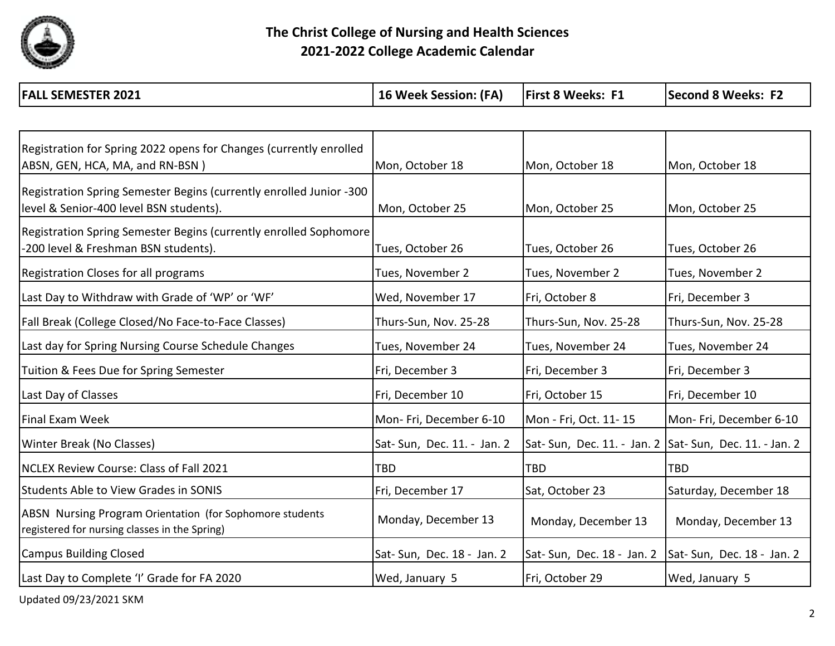

| <b>FALL SEMESTER 2021</b> | 16 Week Session: (FA) | <b>F1</b><br><b>First 8 Weeks:</b> | ---<br><b>Second 8 Weeks:</b> |
|---------------------------|-----------------------|------------------------------------|-------------------------------|
|---------------------------|-----------------------|------------------------------------|-------------------------------|

| Registration for Spring 2022 opens for Changes (currently enrolled<br>ABSN, GEN, HCA, MA, and RN-BSN)     | Mon, October 18             | Mon, October 18                                           | Mon, October 18            |
|-----------------------------------------------------------------------------------------------------------|-----------------------------|-----------------------------------------------------------|----------------------------|
|                                                                                                           |                             |                                                           |                            |
| Registration Spring Semester Begins (currently enrolled Junior -300                                       |                             |                                                           |                            |
| level & Senior-400 level BSN students).                                                                   | Mon, October 25             | Mon, October 25                                           | Mon, October 25            |
| Registration Spring Semester Begins (currently enrolled Sophomore                                         |                             |                                                           |                            |
| -200 level & Freshman BSN students).                                                                      | Tues, October 26            | Tues, October 26                                          | Tues, October 26           |
|                                                                                                           |                             |                                                           |                            |
| <b>Registration Closes for all programs</b>                                                               | Tues, November 2            | Tues, November 2                                          | Tues, November 2           |
| Last Day to Withdraw with Grade of 'WP' or 'WF'                                                           | Wed, November 17            | Fri, October 8                                            | Fri, December 3            |
| Fall Break (College Closed/No Face-to-Face Classes)                                                       | Thurs-Sun, Nov. 25-28       | Thurs-Sun, Nov. 25-28                                     | Thurs-Sun, Nov. 25-28      |
| Last day for Spring Nursing Course Schedule Changes                                                       | Tues, November 24           | Tues, November 24                                         | Tues, November 24          |
| Tuition & Fees Due for Spring Semester                                                                    | Fri, December 3             | Fri, December 3                                           | Fri, December 3            |
| Last Day of Classes                                                                                       | Fri, December 10            | Fri, October 15                                           | Fri, December 10           |
| Final Exam Week                                                                                           | Mon-Fri, December 6-10      | Mon - Fri, Oct. 11-15                                     | Mon-Fri, December 6-10     |
| Winter Break (No Classes)                                                                                 | Sat- Sun, Dec. 11. - Jan. 2 | Sat- Sun, Dec. 11. - Jan. 2   Sat- Sun, Dec. 11. - Jan. 2 |                            |
| NCLEX Review Course: Class of Fall 2021                                                                   | <b>TBD</b>                  | <b>TBD</b>                                                | <b>TBD</b>                 |
| <b>Students Able to View Grades in SONIS</b>                                                              | Fri, December 17            | Sat, October 23                                           | Saturday, December 18      |
| ABSN Nursing Program Orientation (for Sophomore students<br>registered for nursing classes in the Spring) | Monday, December 13         | Monday, December 13                                       | Monday, December 13        |
| <b>Campus Building Closed</b>                                                                             | Sat- Sun, Dec. 18 - Jan. 2  | Sat-Sun, Dec. 18 - Jan. 2                                 | Sat- Sun, Dec. 18 - Jan. 2 |
| Last Day to Complete 'I' Grade for FA 2020                                                                | Wed, January 5              | Fri, October 29                                           | Wed, January 5             |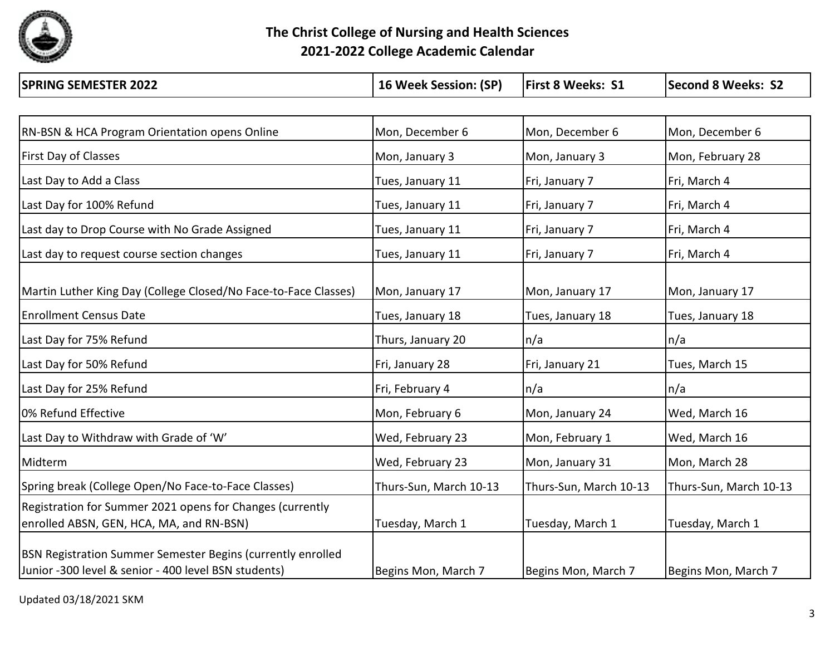

**The Christ College of Nursing and Health Sciences 2021-2022 College Academic Calendar**

| <b>SPRING SEMESTER 2022</b>                                                                                         | 16 Week Session: (SP)  | <b>First 8 Weeks: S1</b> | <b>Second 8 Weeks: S2</b> |
|---------------------------------------------------------------------------------------------------------------------|------------------------|--------------------------|---------------------------|
|                                                                                                                     |                        |                          |                           |
| <b>RN-BSN &amp; HCA Program Orientation opens Online</b>                                                            | Mon, December 6        | Mon, December 6          | Mon, December 6           |
| <b>First Day of Classes</b>                                                                                         | Mon, January 3         | Mon, January 3           | Mon, February 28          |
| Last Day to Add a Class                                                                                             | Tues, January 11       | Fri, January 7           | Fri, March 4              |
| Last Day for 100% Refund                                                                                            | Tues, January 11       | Fri, January 7           | Fri, March 4              |
| Last day to Drop Course with No Grade Assigned                                                                      | Tues, January 11       | Fri, January 7           | Fri, March 4              |
| Last day to request course section changes                                                                          | Tues, January 11       | Fri, January 7           | Fri, March 4              |
| Martin Luther King Day (College Closed/No Face-to-Face Classes)                                                     | Mon, January 17        | Mon, January 17          | Mon, January 17           |
| <b>Enrollment Census Date</b>                                                                                       | Tues, January 18       | Tues, January 18         | Tues, January 18          |
| Last Day for 75% Refund                                                                                             | Thurs, January 20      | n/a                      | n/a                       |
| Last Day for 50% Refund                                                                                             | Fri, January 28        | Fri, January 21          | Tues, March 15            |
| Last Day for 25% Refund                                                                                             | Fri, February 4        | n/a                      | n/a                       |
| 0% Refund Effective                                                                                                 | Mon, February 6        | Mon, January 24          | Wed, March 16             |
| Last Day to Withdraw with Grade of 'W'                                                                              | Wed, February 23       | Mon, February 1          | Wed, March 16             |
| Midterm                                                                                                             | Wed, February 23       | Mon, January 31          | Mon, March 28             |
| Spring break (College Open/No Face-to-Face Classes)                                                                 | Thurs-Sun, March 10-13 | Thurs-Sun, March 10-13   | Thurs-Sun, March 10-13    |
| Registration for Summer 2021 opens for Changes (currently<br>enrolled ABSN, GEN, HCA, MA, and RN-BSN)               | Tuesday, March 1       | Tuesday, March 1         | Tuesday, March 1          |
| BSN Registration Summer Semester Begins (currently enrolled<br>Junior -300 level & senior - 400 level BSN students) | Begins Mon, March 7    | Begins Mon, March 7      | Begins Mon, March 7       |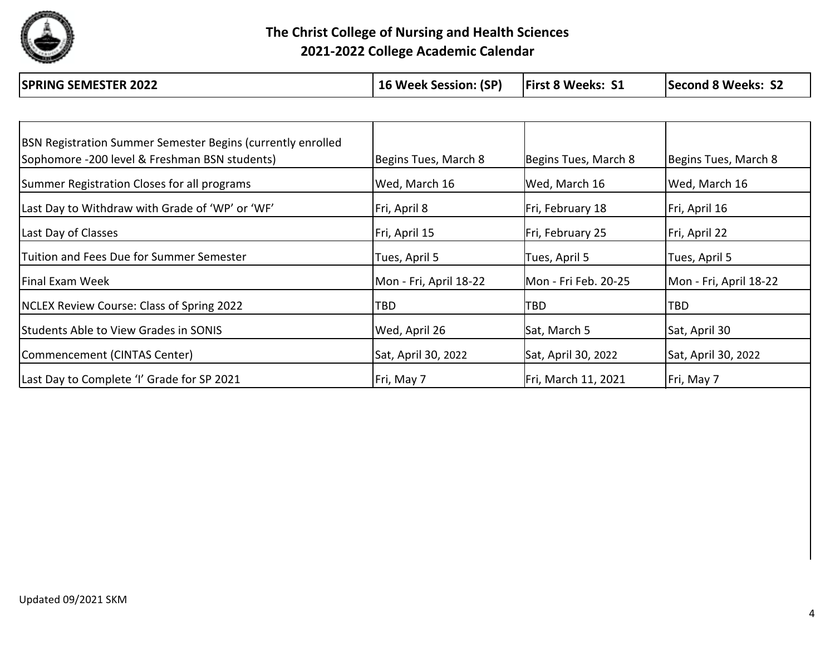

**The Christ College of Nursing and Health Sciences 2021-2022 College Academic Calendar**

| <b>SPRING SEMESTER 2022</b>                                                                                  | 16 Week Session: (SP)  | <b>First 8 Weeks: S1</b> | <b>Second 8 Weeks: S2</b> |
|--------------------------------------------------------------------------------------------------------------|------------------------|--------------------------|---------------------------|
|                                                                                                              |                        |                          |                           |
| BSN Registration Summer Semester Begins (currently enrolled<br>Sophomore -200 level & Freshman BSN students) | Begins Tues, March 8   | Begins Tues, March 8     | Begins Tues, March 8      |
| Summer Registration Closes for all programs                                                                  | Wed, March 16          | Wed, March 16            | Wed, March 16             |
| Last Day to Withdraw with Grade of 'WP' or 'WF'                                                              | Fri, April 8           | Fri, February 18         | Fri, April 16             |
| Last Day of Classes                                                                                          | Fri, April 15          | Fri, February 25         | Fri, April 22             |
| Tuition and Fees Due for Summer Semester                                                                     | Tues, April 5          | Tues, April 5            | Tues, April 5             |
| Final Exam Week                                                                                              | Mon - Fri, April 18-22 | Mon - Fri Feb. 20-25     | Mon - Fri, April 18-22    |
| <b>NCLEX Review Course: Class of Spring 2022</b>                                                             | TBD                    | <b>TBD</b>               | TBD                       |
| <b>Students Able to View Grades in SONIS</b>                                                                 | Wed, April 26          | Sat, March 5             | Sat, April 30             |
| Commencement (CINTAS Center)                                                                                 | Sat, April 30, 2022    | Sat, April 30, 2022      | Sat, April 30, 2022       |

Last Day to Complete 'I' Grade for SP 2021 Fri, May 7 Fri, May 7 Fri, March 11, 2021 Fri, May 7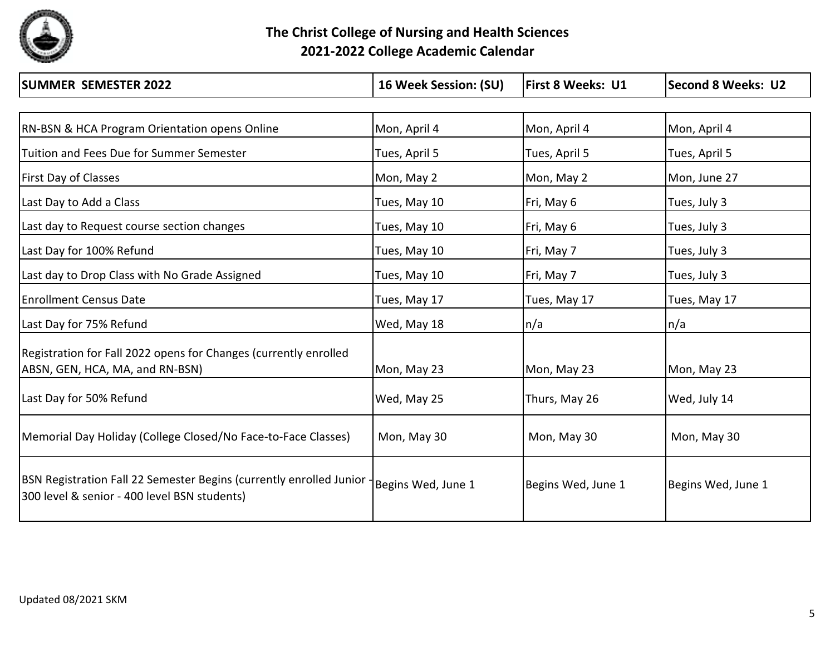

**The Christ College of Nursing and Health Sciences 2021-2022 College Academic Calendar**

| <b>SUMMER SEMESTER 2022</b>                                                                                           | 16 Week Session: (SU) | <b>First 8 Weeks: U1</b> | <b>Second 8 Weeks: U2</b> |
|-----------------------------------------------------------------------------------------------------------------------|-----------------------|--------------------------|---------------------------|
|                                                                                                                       |                       |                          |                           |
| <b>RN-BSN &amp; HCA Program Orientation opens Online</b>                                                              | Mon, April 4          | Mon, April 4             | Mon, April 4              |
| Tuition and Fees Due for Summer Semester                                                                              | Tues, April 5         | Tues, April 5            | Tues, April 5             |
| <b>First Day of Classes</b>                                                                                           | Mon, May 2            | Mon, May 2               | Mon, June 27              |
| Last Day to Add a Class                                                                                               | Tues, May 10          | Fri, May 6               | Tues, July 3              |
| Last day to Request course section changes                                                                            | Tues, May 10          | Fri, May 6               | Tues, July 3              |
| Last Day for 100% Refund                                                                                              | Tues, May 10          | Fri, May 7               | Tues, July 3              |
| Last day to Drop Class with No Grade Assigned                                                                         | Tues, May 10          | Fri, May 7               | Tues, July 3              |
| <b>Enrollment Census Date</b>                                                                                         | Tues, May 17          | Tues, May 17             | Tues, May 17              |
| Last Day for 75% Refund                                                                                               | Wed, May 18           | n/a                      | n/a                       |
| Registration for Fall 2022 opens for Changes (currently enrolled                                                      |                       |                          |                           |
| ABSN, GEN, HCA, MA, and RN-BSN)                                                                                       | Mon, May 23           | Mon, May 23              | Mon, May 23               |
| Last Day for 50% Refund                                                                                               | Wed, May 25           | Thurs, May 26            | Wed, July 14              |
| Memorial Day Holiday (College Closed/No Face-to-Face Classes)                                                         | Mon, May 30           | Mon, May 30              | Mon, May 30               |
| BSN Registration Fall 22 Semester Begins (currently enrolled Junior -<br>300 level & senior - 400 level BSN students) | Begins Wed, June 1    | Begins Wed, June 1       | Begins Wed, June 1        |